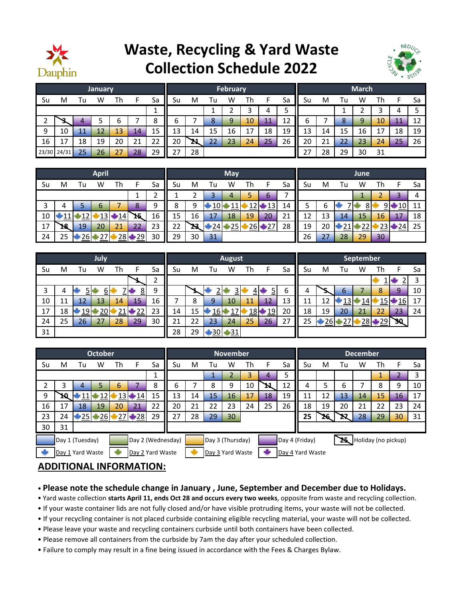

## **Waste, Recycling & Yard Waste Collection Schedule 2022**



| January |       |    |    |    |    |    |    | February |    |    |    |    |        |    |    | <b>March</b> |    |    |               |    |  |  |  |
|---------|-------|----|----|----|----|----|----|----------|----|----|----|----|--------|----|----|--------------|----|----|---------------|----|--|--|--|
| Su      | M     | Гu | W  | Th |    | Sa | Su | M        | Tu | W  | Th |    | Sa     | Su | M  | Гu           | W  | Th |               | Sa |  |  |  |
|         |       |    |    |    |    |    |    |          |    |    |    | 4  | -<br>כ |    |    |              |    | о  | 4             |    |  |  |  |
| ∼       |       | 4  |    | ь  |    | 8  | ь  |          | 8  | 9  | 10 | 11 | 12     | ь  |    | $\circ$<br>δ | 9  | 10 | $\mathbf{11}$ | 12 |  |  |  |
| 9       | 10    |    | 12 | 13 | 14 | 15 | 13 | 14       | 15 | 16 | 17 | 18 | 19     | 13 | 14 | 15           | 16 | 17 | 18            | 19 |  |  |  |
| 16      | 17    | 18 | 19 | 20 | 21 | 22 | 20 | 21       | 22 | 23 | 24 | 25 | 26     | 20 | 21 | 22           | 23 | 24 | 25            | 26 |  |  |  |
| 23/30   | 24/31 | 25 | 26 | 27 | 28 | 29 | っっ | 28       |    |    |    |    |        | 27 | 28 | 29           | 30 | 31 |               |    |  |  |  |

|    |    |    | <b>April</b> |      |                          |    | May |    |                 |    |    |           |    |    | June |    |    |      |    |    |  |  |
|----|----|----|--------------|------|--------------------------|----|-----|----|-----------------|----|----|-----------|----|----|------|----|----|------|----|----|--|--|
| Su | M  | Tu | W            | Th   | F                        | Sa | Su  | M  | Tu              | W  | Th | Е         | Sa | Su | M    | Tu | w  | Th   |    | Sa |  |  |
|    |    |    |              |      |                          | h  |     | ∍  | 3               | 4  |    | 6         | ⇁  |    |      |    |    | ୵    |    | 4  |  |  |
| 3  | 4  |    | 6            | ⇁    | 8                        | 9  | 8   | 9  | 10              |    |    | $2 + 13$  | 14 | 5  | ь    |    | 8  | ا 9  | 10 | 11 |  |  |
| 10 |    |    | 13           | 414  | 15                       | 16 | 15  | 16 | 17              | 18 | 19 | 20        | 21 | 12 | 13   | 14 | 15 | 16   | 17 | 18 |  |  |
| 17 | 18 | 19 | 20           | 21   | 22                       | 23 | 22  | 23 | $\frac{124}{2}$ | 25 |    | $26 + 27$ | 28 | 19 | 20   | ᅀ  | 22 | ∤23∦ | 24 | 25 |  |  |
| 24 | 25 | 26 | -            | 28 单 | $\blacktriangleright$ 29 | 30 | 29  | 30 | 31              |    |    |           |    | 26 | 27   | 28 | 29 | 30   |    |    |  |  |

|    |    |     | <b>July</b> |    |                |        |    |    |    | <b>August</b> |                     |                          |    | September |                 |     |    |        |     |    |
|----|----|-----|-------------|----|----------------|--------|----|----|----|---------------|---------------------|--------------------------|----|-----------|-----------------|-----|----|--------|-----|----|
| Su | M  | l u | W           | Th |                | Sa     | Su | M  | Tu | w             | Th                  |                          | Sa | Su        | M               | l u | W  | Th     |     | Sa |
|    |    |     |             |    |                | ∼<br>ے |    |    |    |               |                     |                          |    |           |                 |     |    |        |     |    |
| 3  | 4  | י ב | <u>b</u>    |    | 8 <sup>1</sup> | 9      |    |    | ≏  | <u>으</u>      |                     | כ                        | 6  | 4         | ۔               | b   |    | 8      | 9   | 10 |
| 10 | 11 | 12  | 13          | 14 | 15             | 16     |    | 8  | 9  | 10            | 11                  | 12                       | 13 | 11        | 12              | ⊥ວ  | 14 | 15     | 16  |    |
| 17 | 18 | 19  | 20          |    | $*22$          | 23     | 14 | 15 | 16 |               | $18$ $\blacksquare$ | $\blacktriangleright$ 19 | 20 | 18        | 19              | 20  | 21 | 22     | 23  | 24 |
| 24 | 25 | 26  | 27          | 28 | 29             | 30     | 21 | 22 | 23 | 24            | 25                  | 26                       | 27 | 25        | $26\frac{1}{2}$ | ≉27 |    | 28 *29 | 30. |    |
| 31 |    |     |             |    |                |        | 28 | 29 |    | ₩30 ¥31       |                     |                          |    |           |                 |     |    |        |     |    |

|                                      |    |                 | <b>October</b> |    |           |    |    | <b>November</b>                      |    |                  |    |    |                                          |    |     | <b>December</b> |    |    |    |    |  |  |
|--------------------------------------|----|-----------------|----------------|----|-----------|----|----|--------------------------------------|----|------------------|----|----|------------------------------------------|----|-----|-----------------|----|----|----|----|--|--|
| Su                                   | м  | Tu              | w              | Th | E         | Sa | Su | M                                    | Tu | W                | Th | F  | Sa                                       | Su | M   | Tu              | W  | Th |    | Sa |  |  |
|                                      |    |                 |                |    |           |    |    |                                      | ÷. |                  | 3  | 4  | 5                                        |    |     |                 |    | ÷. |    |    |  |  |
|                                      | 3  | 4               | 5              | 6  |           | 8  | 6  |                                      | 8  | 9                | 10 |    | 12                                       | 4  | 5   | 6               |    | 8  | 9  | 10 |  |  |
| 9                                    | 10 | 11 <sup>1</sup> | $*12$          |    | $13 + 14$ | 15 | 13 | 14                                   | 15 | 16               | 17 | 18 | 19                                       | 11 | 12  | 13              | 14 | 15 | 16 | 17 |  |  |
| 16                                   | 17 | 18              | 19             | 20 | 21        | 22 | 20 | 21                                   | 22 | 23               | 24 | 25 | 26                                       | 18 | 19  | 20              | 21 | 22 | 23 | 24 |  |  |
| 23                                   | 24 |                 |                |    |           | 29 | 27 | 28                                   | 29 | 30               |    |    |                                          | 25 | 26. |                 | 28 | 29 | 30 | 31 |  |  |
| 30                                   | 31 |                 |                |    |           |    |    |                                      |    |                  |    |    |                                          |    |     |                 |    |    |    |    |  |  |
| Day 1 (Tuesday)<br>Day 2 (Wednesday) |    |                 |                |    |           |    |    |                                      |    | Day 3 (Thursday) |    |    | 25 Holiday (no pickup)<br>Day 4 (Friday) |    |     |                 |    |    |    |    |  |  |
| Day 1 Yard Waste<br>Day 2 Yard Waste |    |                 |                |    |           |    |    | Day 3 Yard Waste<br>Day 4 Yard Waste |    |                  |    |    |                                          |    |     |                 |    |    |    |    |  |  |

## **ADDITIONAL INFORMATION:**

- **Please note the schedule change in January , June, September and December due to Holidays.**
- Yard waste collection **starts April 11, ends Oct 28 and occurs every two weeks**, opposite from waste and recycling collection.
- If your waste container lids are not fully closed and/or have visible protruding items, your waste will not be collected.
- If your recycling container is not placed curbside containing eligible recycling material, your waste will not be collected.
- Please leave your waste and recycling containers curbside until both containers have been collected.
- Please remove all containers from the curbside by 7am the day after your scheduled collection.
- Failure to comply may result in a fine being issued in accordance with the Fees & Charges Bylaw.